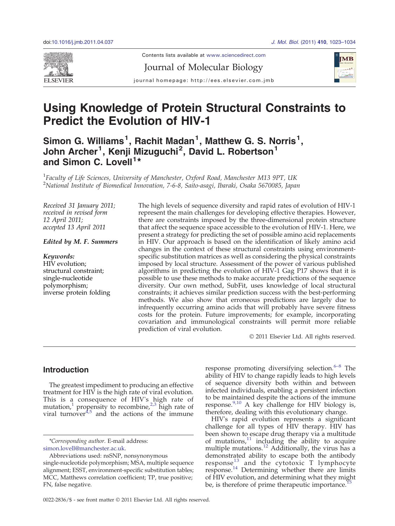

Contents lists available at www.sciencedirect.com

Journal of Molecular Biology



journal homepage: http://ees.elsevier.com.jmb

# Using Knowledge of Protein Structural Constraints to Predict the Evolution of HIV-1

Simon G. Williams<sup>1</sup>, Rachit Madan<sup>1</sup>, Matthew G. S. Norris<sup>1</sup>, John Archer<sup>1</sup>, Kenji Mizuguchi<sup>2</sup>, David L. Robertson<sup>1</sup> and Simon C. Lovell<sup>1\*</sup>

<sup>1</sup>Faculty of Life Sciences, University of Manchester, Oxford Road, Manchester M13 9PT, UK 2 National Institute of Biomedical Innovation, 7-6-8, Saito-asagi, Ibaraki, Osaka 5670085, Japan

Received 31 January 2011; received in revised form 12 April 2011; accepted 13 April 2011

## Edited by M. F. Summers

Keywords: HIV evolution; structural constraint; single-nucleotide polymorphism; inverse protein folding The high levels of sequence diversity and rapid rates of evolution of HIV-1 represent the main challenges for developing effective therapies. However, there are constraints imposed by the three-dimensional protein structure that affect the sequence space accessible to the evolution of HIV-1. Here, we present a strategy for predicting the set of possible amino acid replacements in HIV. Our approach is based on the identification of likely amino acid changes in the context of these structural constraints using environmentspecific substitution matrices as well as considering the physical constraints imposed by local structure. Assessment of the power of various published algorithms in predicting the evolution of HIV-1 Gag P17 shows that it is possible to use these methods to make accurate predictions of the sequence diversity. Our own method, SubFit, uses knowledge of local structural constraints; it achieves similar prediction success with the best-performing methods. We also show that erroneous predictions are largely due to infrequently occurring amino acids that will probably have severe fitness costs for the protein. Future improvements; for example, incorporating covariation and immunological constraints will permit more reliable prediction of viral evolution.

© 2011 Elsevier Ltd. All rights reserved.

# **Introduction**

The greatest impediment to producing an effective treatment for HIV is the high rate of viral evolution. This is a consequence of HIV's high rate of mutation,<sup>[1](#page-9-0)</sup> propensity to recombine[,](#page-9-0)<sup>[2,3](#page-9-0)</sup> high rate of viral turnover<sup> $4,5$ </sup> and the actions of the immune

\*Corresponding author. E-mail address: [simon.lovell@manchester.ac.uk.](mailto:simon.lovell@manchester.ac.uk)

response promoting diversifying selection. $6-8$  $6-8$  The ability of HIV to change rapidly leads to high levels of sequence diversity both within and between infected individuals, enabling a persistent infection to be maintained despite the actions of the immune response. $9,10$  A key challenge for HIV biology is, therefore, dealing with this evolutionary change.

HIV's rapid evolution represents a significant challenge for all types of HIV therapy. HIV has been shown to escape drug therapy via a multitude of mutations, $11$  including the ability to acquire multiple mutations. $\frac{12}{2}$  $\frac{12}{2}$  $\frac{12}{2}$  Additionally, the virus has a demonstrated ability to escape both the antibody response[13](#page-9-0) and the cytotoxic T lymphocyte response.[14](#page-9-0) Determining whether there are limits of HIV evolution, and determining what they might be, is therefore of prime therapeutic importance.<sup>1</sup>

Abbreviations used: nsSNP, nonsynonymous single-nucleotide polymorphism; MSA, multiple sequence alignment; ESST, environment-specific substitution tables; MCC, Matthews correlation coefficient; TP, true positive; FN, false negative.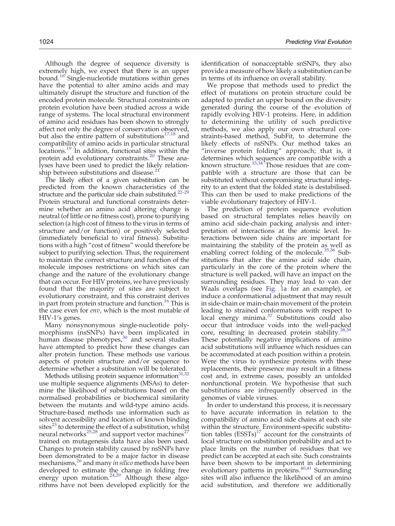Although the degree of sequence diversity is extremely high, we expect that there is an upper bound.[16](#page-9-0) Single-nucleotide mutations within genes have the potential to alter amino acids and may ultimately disrupt the structure and function of the encoded protein molecule. Structural constraints on protein evolution have been studied across a wide range of systems. The local structural environment of amino acid residues has been shown to strongly affect not only the degree of conservation observed, but also the entire pattern of substitutions $17,18$  and compatibility of amino acids in particular structural locations.<sup>[19](#page-10-0)</sup> In addition, functional sites within the protein add evolutionary constraints[.](#page-10-0)<sup>[20](#page-10-0)</sup> These analyses have been used to predict the likely relation-

ship between substitutions and disease.<sup>2</sup> The likely effect of a given substitution can be predicted from the known characteristics of [the](#page-10-0) structure and the particular side chain substituted.<sup>22-29</sup> Protein structural and functional constraints determine whether an amino acid altering change is neutral (of little or no fitness cost), prone to purifying selection (a high cost of fitness to the virus in terms of structure and/or function) or positively selected (immediately beneficial to viral fitness). Substitutions with a high "cost of fitness" would therefore be subject to purifying selection. Thus, the requirement to maintain the correct structure and function of the molecule imposes restrictions on which sites can change and the nature of the evolutionary change that can occur. For HIV proteins, we have previously found that the majority of sites are subject to evolutionary constraint, and this constraint derives in part from protein structure and function.<sup>[16](#page-9-0)</sup> This is the case even for env, which is the most mutable of HIV-1′s genes.

Many nonsynonymous single-nucleotide polymorphisms (nsSNPs) have been implicated in human disease phenotypes,<sup>[30](#page-10-0)</sup> and several studies have attempted to predict how these changes can alter protein function. These methods use various aspects of protein structure and/or sequence to determine whether a substitution will be tolerated.

Methods utilising protein sequence information $^{31,32}$  $^{31,32}$  $^{31,32}$ use multiple sequence alignments (MSAs) to determine the likelihood of substitutions based on the normalised probabilities or biochemical similarity between the mutants and wild-type amino acids. Structure-based methods use information such as solvent accessibility and location of known binding sites<sup>[23](#page-10-0)</sup> to determine the effect of a substitution, whilst neural networks $^{25,28}$  $^{25,28}$  $^{25,28}$  and support vector machines<sup>[27](#page-10-0)</sup> trained on mutagenesis data have also been used. Changes to protein stability caused by nsSNPs have been demonstrated to be a major factor in disease mechanisms[,](#page-10-0)<sup>[26](#page-10-0)</sup> and many *in silico* methods have been developed to estimate the change in folding free energy upon mutation.<sup>[24,29](#page-10-0)</sup> Although these algorithms have not been developed explicitly for the

1024 Predicting Viral Evolution

identification of nonacceptable snSNPs, they also provide a measure of how likely a substitution can be in terms of its influence on overall stability.

We propose that methods used to predict the effect of mutations on protein structure could be adapted to predict an upper bound on the diversity generated during the course of the evolution of rapidly evolving HIV-1 proteins. Here, in addition to determining the utility of such predictive methods, we also apply our own structural constraints-based method, SubFit, to determine the likely effects of nsSNPs. Our method takes an "inverse protein folding" approach; that is, it determines which sequences are compatible with a known structure. $33,34$ <sup>+</sup>Those residues that are compatible with a structure are those that can be substituted without compromising structural integrity to an extent that the folded state is destabilised. This can then be used to make predictions of the viable evolutionary trajectory of HIV-1.

The prediction of protein sequence evolution based on structural templates relies heavily on amino acid side-chain packing analysis and interpretation of interactions at the atomic level. Interactions between side chains are important for maintaining the stability of the protein as well as enabling correct folding of the molecule.<sup>[35,36](#page-10-0)</sup> Substitutions that alter the amino acid side chain, particularly in the core of the protein where the structure is well packed, will have an impact on the surrounding residues. They may lead to van der Waals overlaps (see [Fig. 1a](#page-2-0) for an example), or induce a conformational adjustment that may result in side-chain or main-chain movement of the protein leading to strained conformations with respect to local energy minima.<sup>[37](#page-10-0)</sup> Substitutions could also occur that introduce voids into the well-packed core, resulting in decreased protein stability.<sup>[38,39](#page-10-0)</sup> These potentially negative implications of amino acid substitutions will influence which residues can be accommodated at each position within a protein. Were the virus to synthesize proteins with these replacements, their presence may result in a fitness cost and, in extreme cases, possibly an unfolded nonfunctional protein. We hypothesise that such substitutions are infrequently observed in the genomes of viable viruses.

In order to understand this process, it is necessary to have accurate information in relation to the compatibility of amino acid side chains at each site within the structure. Environment-specific substitution tables  $(ESTs)^{17}$  $(ESTs)^{17}$  $(ESTs)^{17}$  account for the constraints of local structure on substitution probability and act to place limits on the number of residues that we predict can be accepted at each site. Such constraints have been shown to be important in determining evolutionary patterns in proteins. $40,41$  Surrounding sites will also influence the likelihood of an amino acid substitution, and therefore we additionally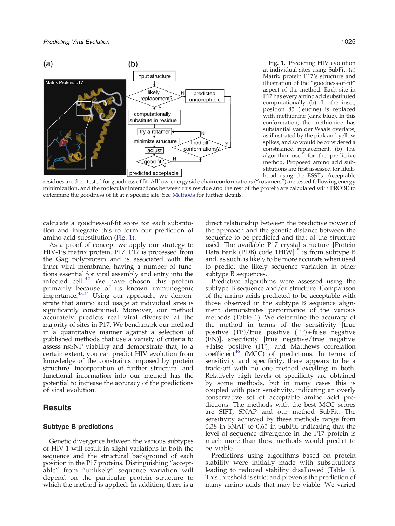<span id="page-2-0"></span>

Fig. 1. Predicting HIV evolution at individual sites using SubFit. (a) Matrix protein P17′s structure and illustration of the "goodness-of-fit" aspect of the method. Each site in P17 has every amino acid substituted computationally (b). In the inset, position 85 (leucine) is replaced with methionine (dark blue). In this conformation, the methionine has substantial van der Waals overlaps, as illustrated by the pink and yellow spikes, and so would be considered a constrained replacement. (b) The algorithm used for the predictive method. Proposed amino acid substitutions are first assessed for likelihood using the ESSTs. Acceptable

residues are then tested for goodness of fit. All low-energy side-chain conformations ("rotamers") are tested following energy minimization, and the molecular interactions between this residue and the rest of the protein are calculated with PROBE to determine the goodness of fit at a specific site. See [Methods](#page-8-0) for further details.

calculate a goodness-of-fit score for each substitution and integrate this to form our prediction of amino acid substitution (Fig. 1).

As a proof of concept we apply our strategy to HIV-1′s matrix protein, P17. P17 is processed from the Gag polyprotein and is associated with the inner viral membrane, having a number of functions essential for viral assembly and entry into the infected cell. $42$  We have chosen this protein primarily because of its known immunogenic importance[.](#page-10-0) $43,44$  Using our approach, we demonstrate that amino acid usage at individual sites is significantly constrained. Moreover, our method accurately predicts real viral diversity at the majority of sites in P17. We benchmark our method in a quantitative manner against a selection of published methods that use a variety of criteria to assess nsSNP viability and demonstrate that, to a certain extent, you can predict HIV evolution from knowledge of the constraints imposed by protein structure. Incorporation of further structural and functional information into our method has the potential to increase the accuracy of the predictions of viral evolution.

## Results

## Subtype B predictions

Genetic divergence between the various subtypes of HIV-1 will result in slight variations in both the sequence and the structural background of each position in the P17 proteins. Distinguishing "acceptable" from "unlikely" sequence variation will depend on the particular protein structure to which the method is applied. In addition, there is a

direct relationship between the predictive power of the approach and the genetic distance between the sequence to be predicted and that of the structure used. The available P17 crystal structure [Protein Data Bank (PDB) code  $1H\dot{I}W$ <sup>[45](#page-10-0)</sup> is from subtype B and, as such, is likely to be more accurate when used to predict the likely sequence variation in other subtype B sequences.

Predictive algorithms were assessed using the subtype B sequence and/or structure. Comparison of the amino acids predicted to be acceptable with those observed in the subtype B sequence alignment demonstrates performance of the various methods [\(Table 1\)](#page-3-0). We determine the accuracy of the method in terms of the sensitivity [true positive  $(TP)/true$  positive  $(TP) + false$  negative (FN)], specificity [true negative/true negative + false positive (FP)] and Matthews correlation coefficient<sup>[46](#page-10-0)</sup> (MCC) of predictions. In terms of sensitivity and specificity, there appears to be a trade-off with no one method excelling in both. Relatively high levels of specificity are obtained by some methods, but in many cases this is coupled with poor sensitivity, indicating an overly conservative set of acceptable amino acid predictions. The methods with the best MCC scores are SIFT, SNAP and our method SubFit. The sensitivity achieved by these methods range from 0.38 in SNAP to 0.65 in SubFit, indicating that the level of sequence divergence in the P17 protein is much more than these methods would predict to be viable.

Predictions using algorithms based on protein stability were initially made with substitutions leading to reduced stability disallowed ([Table 1\)](#page-3-0). This threshold is strict and prevents the prediction of many amino acids that may be viable. We varied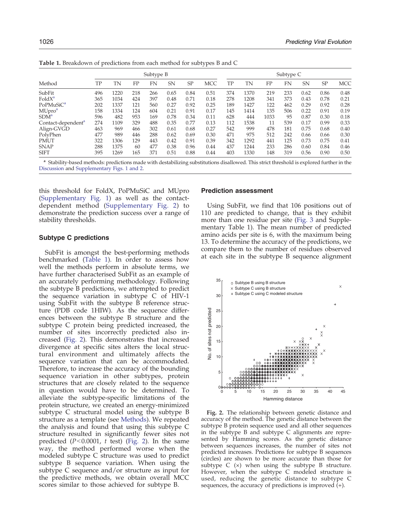| Method                         | Subtype B |      |     |     |      |      |            | Subtype C |           |      |     |      |           |            |
|--------------------------------|-----------|------|-----|-----|------|------|------------|-----------|-----------|------|-----|------|-----------|------------|
|                                | TP        | TN   | FP  | FN  | SN   | SP   | <b>MCC</b> | TP        | <b>TN</b> | FP   | FN  | SN   | <b>SP</b> | <b>MCC</b> |
| SubFit                         | 496       | 1220 | 218 | 266 | 0.65 | 0.84 | 0.51       | 374       | 1370      | 219  | 233 | 0.62 | 0.86      | 0.48       |
| FoldX <sup>a</sup>             | 365       | 1034 | 424 | 397 | 0.48 | 0.71 | 0.18       | 278       | 1208      | 341  | 373 | 0.43 | 0.78      | 0.21       |
| PoPMuSiC <sup>a</sup>          | 202       | 1337 | 121 | 560 | 0.27 | 0.92 | 0.25       | 189       | 1427      | 122  | 462 | 0.29 | 0.92      | 0.28       |
| MUpro <sup>a</sup>             | 158       | 1334 | 124 | 604 | 0.21 | 0.91 | 0.17       | 145       | 1414      | 135  | 506 | 0.22 | 0.91      | 0.19       |
| SDM <sup>a</sup>               | 596       | 482  | 953 | 169 | 0.78 | 0.34 | 0.11       | 628       | 444       | 1033 | 95  | 0.87 | 0.30      | 0.18       |
| Contact-dependent <sup>a</sup> | 274       | 1109 | 329 | 488 | 0.35 | 0.77 | 0.13       | 112       | 1538      | 11   | 539 | 0.17 | 0.99      | 0.33       |
| Align-GVGD                     | 463       | 969  | 466 | 302 | 0.61 | 0.68 | 0.27       | 542       | 999       | 478  | 181 | 0.75 | 0.68      | 0.40       |
| PolyPhen                       | 477       | 989  | 446 | 288 | 0.62 | 0.69 | 0.30       | 471       | 975       | 512  | 242 | 0.66 | 0.66      | 0.30       |
| <b>PMUT</b>                    | 322       | 1306 | 129 | 443 | 0.42 | 0.91 | 0.39       | 342       | 1292      | 441  | 125 | 0.73 | 0.75      | 0.41       |
| <b>SNAP</b>                    | 288       | 1375 | 60  | 477 | 0.38 | 0.96 | 0.44       | 437       | 1244      | 233  | 286 | 0.60 | 0.84      | 0.46       |
| <b>SIFT</b>                    | 395       | 1269 | 165 | 371 | 0.51 | 0.88 | 0.44       | 403       | 1330      | 148  | 319 | 0.56 | 0.90      | 0.50       |

<span id="page-3-0"></span>Table 1. Breakdown of predictions from each method for subtypes B and C

<sup>a</sup> Stability-based methods: predictions made with destabilizing substitutions disallowed. This strict threshold is explored further in the [Discussion](#page-5-0) and Supplementary Figs. 1 and 2.

this threshold for FoldX, PoPMuSiC and MUpro (Supplementary Fig. 1) as well as the contactdependent method (Supplementary Fig. 2) to demonstrate the prediction success over a range of stability thresholds.

## Subtype C predictions

SubFit is amongst the best-performing methods benchmarked (Table 1). In order to assess how well the methods perform in absolute terms, we have further characterised SubFit as an example of an accurately performing methodology. Following the subtype B predictions, we attempted to predict the sequence variation in subtype C of HIV-1 using SubFit with the subtype B reference structure (PDB code 1HIW). As the sequence differences between the subtype B structure and the subtype C protein being predicted increased, the number of sites incorrectly predicted also increased (Fig. 2). This demonstrates that increased divergence at specific sites alters the local structural environment and ultimately affects the sequence variation that can be accommodated. Therefore, to increase the accuracy of the bounding sequence variation in other subtypes, protein structures that are closely related to the sequence in question would have to be determined. To alleviate the subtype-specific limitations of the protein structure, we created an energy-minimized subtype C structural model using the subtype B structure as a template (see [Methods\)](#page-8-0). We repeated the analysis and found that using this subtype C structure resulted in significantly fewer sites not predicted  $(P<0.0001, t \text{ test})$  (Fig. 2). In the same way, the method performed worse when the modeled subtype C structure was used to predict subtype B sequence variation. When using the subtype C sequence and/or structure as input for the predictive methods, we obtain overall MCC scores similar to those achieved for subtype B.

## Prediction assessment

Using SubFit, we find that 106 positions out of 110 are predicted to change, that is they exhibit more than one residue per site ([Fig. 3](#page-4-0) and Supplementary Table 1). The mean number of predicted amino acids per site is 6, with the maximum being 13. To determine the accuracy of the predictions, we compare them to the number of residues observed at each site in the subtype B sequence alignment



Fig. 2. The relationship between genetic distance and accuracy of the method. The genetic distance between the subtype B protein sequence used and all other sequences in the subtype B and subtype C alignments are represented by Hamming scores. As the genetic distance between sequences increases, the number of sites not predicted increases. Predictions for subtype B sequences (circles) are shown to be more accurate than those for subtype C  $(x)$  when using the subtype B structure. However, when the subtype C modeled structure is used, reducing the genetic distance to subtype C sequences, the accuracy of predictions is improved (+).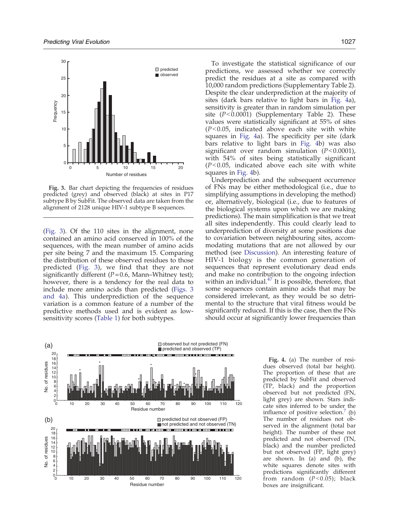<span id="page-4-0"></span>

Fig. 3. Bar chart depicting the frequencies of residues predicted (grey) and observed (black) at sites in P17 subtype B by SubFit. The observed data are taken from the alignment of 2128 unique HIV-1 subtype B sequences.

(Fig. 3). Of the 110 sites in the alignment, none contained an amino acid conserved in 100% of the sequences, with the mean number of amino acids per site being 7 and the maximum 15. Comparing the distribution of these observed residues to those predicted (Fig. 3), we find that they are not significantly different ( $P = 0.6$ , Mann–Whitney test); however, there is a tendency for the real data to include more amino acids than predicted (Figs. 3 and 4a). This underprediction of the sequence variation is a common feature of a number of the predictive methods used and is evident as lowsensitivity scores ([Table 1\)](#page-3-0) for both subtypes.

To investigate the statistical significance of our predictions, we assessed whether we correctly predict the residues at a site as compared with 10,000 random predictions (Supplementary Table 2). Despite the clear underprediction at the majority of sites (dark bars relative to light bars in Fig. 4a), sensitivity is greater than in random simulation per site  $(P<0.0001)$  (Supplementary Table 2). These values were statistically significant at 55% of sites  $(P<0.05$ , indicated above each site with white squares in Fig. 4a). The specificity per site (dark bars relative to light bars in Fig. 4b) was also significant over random simulation  $(P<0.0001)$ , with 54% of sites being statistically significant  $(P<0.05$ , indicated above each site with white squares in Fig. 4b).

Underprediction and the subsequent occurrence of FNs may be either methodological (i.e., due to simplifying assumptions in developing the method) or, alternatively, biological (i.e., due to features of the biological systems upon which we are making predictions). The main simplification is that we treat all sites independently. This could clearly lead to underprediction of diversity at some positions due to covariation between neighbouring sites, accommodating mutations that are not allowed by our method (see [Discussion\)](#page-5-0). An interesting feature of HIV-1 biology is the common generation of sequences that represent evolutionary dead ends and make no contribution to the ongoing infection within an individual. $47$  It is possible, therefore, that some sequences contain amino acids that may be considered irrelevant, as they would be so detrimental to the structure that viral fitness would be significantly reduced. If this is the case, then the FNs should occur at significantly lower frequencies than



Fig. 4. (a) The number of residues observed (total bar height). The proportion of these that are predicted by SubFit and observed (TP, black) and the proportion observed but not predicted (FN, light grey) are shown. Stars indicate sites inferred to be under the influence of positive selection. $(2)$ The number of residues not observed in the alignment (total bar height). The number of these not predicted and not observed (TN, black) and the number predicted but not observed (FP, light grey) are shown. In (a) and (b), the white squares denote sites with predictions significantly different from random  $(P<0.05)$ ; black boxes are insignificant.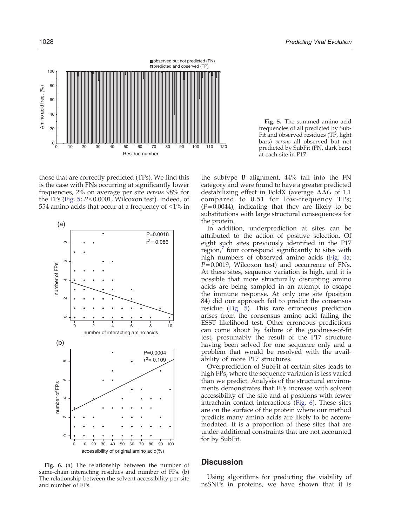<span id="page-5-0"></span>

those that are correctly predicted (TPs). We find this is the case with FNs occurring at significantly lower frequencies, 2% on average per site versus 98% for the TPs (Fig. 5;  $P<0.0001$ , Wilcoxon test). Indeed, of 554 amino acids that occur at a frequency of  $\leq 1\%$  in



Fig. 6. (a) The relationship between the number of same-chain interacting residues and number of FPs. (b) The relationship between the solvent accessibility per site and number of FPs.

Fig. 5. The summed amino acid frequencies of all predicted by Sub-Fit and observed residues (TP, light bars) versus all observed but not predicted by SubFit (FN, dark bars) at each site in P17.

the subtype B alignment, 44% fall into the FN category and were found to have a greater predicted destabilizing effect in FoldX (average  $\Delta\Delta G$  of 1.1 compared to 0.51 for low-frequency TPs;  $(P= 0.0044)$ , indicating that they are likely to be substitutions with large structural consequences for the protein.

In addition, underprediction at sites can be attributed to the action of positive selection. Of eight such sites previously identified in the P17 region, four correspond significantly to sites with high numbers of observed amino acids ([Fig. 4a](#page-4-0);  $P= 0.0019$ , Wilcoxon test) and occurrence of FNs. At these sites, sequence variation is high, and it is possible that more structurally disrupting amino acids are being sampled in an attempt to escape the immune response. At only one site (position 84) did our approach fail to predict the consensus residue (Fig. 5). This rare erroneous prediction arises from the consensus amino acid failing the ESST likelihood test. Other erroneous predictions can come about by failure of the goodness-of-fit test, presumably the result of the P17 structure having been solved for one sequence only and a problem that would be resolved with the availability of more P17 structures.

Overprediction of SubFit at certain sites leads to high FPs, where the sequence variation is less varied than we predict. Analysis of the structural environments demonstrates that FPs increase with solvent accessibility of the site and at positions with fewer intrachain contact interactions (Fig. 6). These sites are on the surface of the protein where our method predicts many amino acids are likely to be accommodated. It is a proportion of these sites that are under additional constraints that are not accounted for by SubFit.

## **Discussion**

Using algorithms for predicting the viability of nsSNPs in proteins, we have shown that it is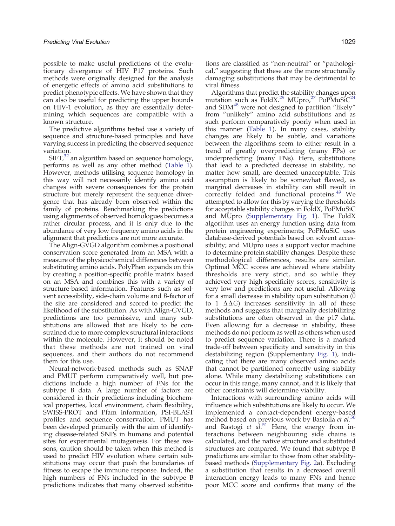possible to make useful predictions of the evolutionary divergence of HIV P17 proteins. Such methods were originally designed for the analysis of energetic effects of amino acid substitutions to predict phenotypic effects. We have shown that they can also be useful for predicting the upper bounds on HIV-1 evolution, as they are essentially determining which sequences are compatible with a known structure.

The predictive algorithms tested use a variety of sequence and structure-based principles and have varying success in predicting the observed sequence variation.

 $SIFT<sup>32</sup>$  $SIFT<sup>32</sup>$  $SIFT<sup>32</sup>$  an algorithm based on sequence homology, performs as well as any other method [\(Table 1](#page-3-0)). However, methods utilising sequence homology in this way will not necessarily identify amino acid changes with severe consequences for the protein structure but merely represent the sequence divergence that has already been observed within the family of proteins. Benchmarking the predictions using alignments of observed homologues becomes a rather circular process, and it is only due to the abundance of very low frequency amino acids in the alignment that predictions are not more accurate.

The Align-GVGD algorithm combines a positional conservation score generated from an MSA with a measure of the physicochemical differences between substituting amino acids. PolyPhen expands on this by creating a position-specific profile matrix based on an MSA and combines this with a variety of structure-based information. Features such as solvent accessibility, side-chain volume and B-factor of the site are considered and scored to predict the likelihood of the substitution. As with Align-GVGD, predictions are too permissive, and many substitutions are allowed that are likely to be constrained due to more complex structural interactions within the molecule. However, it should be noted that these methods are not trained on viral sequences, and their authors do not recommend them for this use.

Neural-network-based methods such as SNAP and PMUT perform comparatively well, but predictions include a high number of FNs for the subtype B data. A large number of factors are considered in their predictions including biochemical properties, local environment, chain flexibility, SWISS-PROT and Pfam information, PSI-BLAST profiles and sequence conservation. PMUT has been developed primarily with the aim of identifying disease-related SNPs in humans and potential sites for experimental mutagenesis. For these reasons, caution should be taken when this method is used to predict HIV evolution where certain substitutions may occur that push the boundaries of fitness to escape the immune response. Indeed, the high numbers of FNs included in the subtype B predictions indicates that many observed substitutions are classified as "non-neutral" or "pathological," suggesting that these are the more structurally damaging substitutions that may be detrimental to viral fitness.

Algorithms that predict the stability changes upon mutation such as  $FoldX.<sup>29</sup> MUpro.<sup>27</sup> PoPMUSi $C^{24}$$  $FoldX.<sup>29</sup> MUpro.<sup>27</sup> PoPMUSi $C^{24}$$  $FoldX.<sup>29</sup> MUpro.<sup>27</sup> PoPMUSi $C^{24}$$  $FoldX.<sup>29</sup> MUpro.<sup>27</sup> PoPMUSi $C^{24}$$  $FoldX.<sup>29</sup> MUpro.<sup>27</sup> PoPMUSi $C^{24}$$  $FoldX.<sup>29</sup> MUpro.<sup>27</sup> PoPMUSi $C^{24}$$  $FoldX.<sup>29</sup> MUpro.<sup>27</sup> PoPMUSi $C^{24}$$  $FoldX.<sup>29</sup> MUpro.<sup>27</sup> PoPMUSi $C^{24}$$  $FoldX.<sup>29</sup> MUpro.<sup>27</sup> PoPMUSi $C^{24}$$ and SDM<sup>[48](#page-10-0)</sup> were not designed to partition "likely" from "unlikely" amino acid substitutions and as such perform comparatively poorly when used in this manner ([Table 1\)](#page-3-0). In many cases, stability changes are likely to be subtle, and variations between the algorithms seem to either result in a trend of greatly overpredicting (many FPs) or underpredicting (many FNs). Here, substitutions that lead to a predicted decrease in stability, no matter how small, are deemed unacceptable. This assumption is likely to be somewhat flawed, as marginal decreases in stability can still result in correctly folded and functional proteins.<sup>[49](#page-10-0)</sup> We attempted to allow for this by varying the thresholds for acceptable stability changes in FoldX, PoPMuSiC and MUpro (Supplementary Fig. 1). The FoldX algorithm uses an energy function using data from protein engineering experiments; PoPMuSiC uses database-derived potentials based on solvent accessibility; and MUpro uses a support vector machine to determine protein stability changes. Despite these methodological differences, results are similar. Optimal MCC scores are achieved where stability thresholds are very strict, and so while they achieved very high specificity scores, sensitivity is very low and predictions are not useful. Allowing for a small decrease in stability upon substitution (0 to 1  $\Delta\Delta G$ ) increases sensitivity in all of these methods and suggests that marginally destabilizing substitutions are often observed in the p17 data. Even allowing for a decrease in stability, these methods do not perform as well as others when used to predict sequence variation. There is a marked trade-off between specificity and sensitivity in this destabilizing region (Supplementary [Fig. 1](#page-2-0)), indicating that there are many observed amino acids that cannot be partitioned correctly using stability alone. While many destabilizing substitutions can occur in this range, many cannot, and it is likely that other constraints will determine viability.

Interactions with surrounding amino acids will influence which substitutions are likely to occur. We implemented a contact-dependent energy-based method based on previous work by Bastolla et  $al$ .<sup>[50](#page-10-0)</sup> and Rastogi et  $a\overline{l}$ [.](#page-10-0)<sup>[51](#page-10-0)</sup> Here, the energy from interactions between neighbouring side chains is calculated, and the native structure and substituted structures are compared. We found that subtype B predictions are similar to those from other stabilitybased methods (Supplementary Fig. 2a). Excluding a substitution that results in a decreased overall interaction energy leads to many FNs and hence poor MCC score and confirms that many of the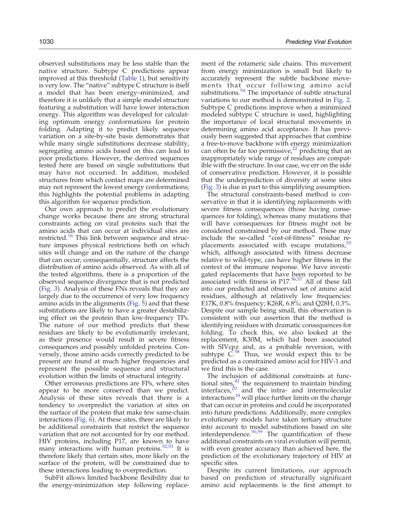observed substitutions may be less stable than the native structure. Subtype C predictions appear improved at this threshold ([Table 1\)](#page-3-0), but sensitivity is very low. The "native" subtype C structure is itself a model that has been energy–minimized, and therefore it is unlikely that a simple model structure featuring a substitution will have lower interaction energy. This algorithm was developed for calculating optimum energy conformations for protein folding. Adapting it to predict likely sequence variation on a site-by-site basis demonstrates that while many single substitutions decrease stability, segregating amino acids based on this can lead to poor predictions. However, the derived sequences tested here are based on single substitutions that may have not occurred. In addition, modeled structures from which contact maps are determined may not represent the lowest energy conformations; this highlights the potential problems in adapting this algorithm for sequence prediction.

Our own approach to predict the evolutionary change works because there are strong structural constraints acting on viral proteins such that the amino acids that can occur at individual sites are restricted.<sup>[16](#page-9-0)</sup> This link between sequence and structure imposes physical restrictions both on which sites will change and on the nature of the change that can occur; consequentially, structure affects the distribution of amino acids observed. As with all of the tested algorithms, there is a proportion of the observed sequence divergence that is not predicted [\(Fig. 3\)](#page-4-0). Analysis of these FNs reveals that they are largely due to the occurrence of very low frequency amino acids in the alignments ([Fig. 5\)](#page-5-0) and that these substitutions are likely to have a greater destabilizing effect on the protein than low-frequency TPs. The nature of our method predicts that these residues are likely to be evolutionarily irrelevant, as their presence would result in severe fitness consequences and possibly unfolded proteins. Conversely, those amino acids correctly predicted to be present are found at much higher frequencies and represent the possible sequence and structural evolution within the limits of structural integrity.

Other erroneous predictions are FPs, where sites appear to be more conserved than we predict. Analysis of these sites reveals that there is a tendency to overpredict the variation at sites on the surface of the protein that make few same-chain interactions [\(Fig. 6](#page-5-0)). At these sites, there are likely to be additional constraints that restrict the sequence variation that are not accounted for by our method. HIV proteins, including P17, are known to have many interactions with human proteins.<sup>[52,53](#page-10-0)</sup> It is therefore likely that certain sites, more likely on the surface of the protein, will be constrained due to these interactions leading to overprediction.

SubFit allows limited backbone flexibility due to the energy-minimization step following replacement of the rotameric side chains. This movement from energy minimization is small but likely to accurately represent the subtle backbone movements that occur following amino acid substitutions.<sup>[54](#page-11-0)</sup> The importance of subtle structural variations to our method is demonstrated in [Fig. 2.](#page-3-0) Subtype C predictions improve when a minimized modeled subtype C structure is used, highlighting the importance of local structural movements in determining amino acid acceptance. It has previously been suggested that approaches that combine a free-to-move backbone with energy minimization can often be far too permissive, $2^2$  predicting that an inappropriately wide range of residues are compatible with the structure. In our case, we err on the side of conservative prediction. However, it is possible that the underprediction of diversity at some sites ([Fig. 3](#page-4-0)) is due in part to this simplifying assumption.

The structural constraints-based method is conservative in that it is identifying replacements with severe fitness consequences (those having consequences for folding), whereas many mutations that will have consequences for fitness might not be considered constrained by our method. These may include the so-called "cost-of-fitness" residue  $\frac{r}{55}$ placements associated with escape mutations, $55$ which, although associated with fitness decrease relative to wild-type, can have higher fitness in the context of the immune response. We have investigated replacements that have been reported to be associated with fitness in P17. $56,57$  All of these fall into our predicted and observed set of amino acid residues, although at relatively low frequencies: E17K, 0.8% frequency; K26R, 6.8%; and Q28H, 0.3%. Despite our sample being small, this observation is consistent with our assertion that the method is identifying residues with dramatic consequences for folding. To check this, we also looked at the replacement, K30M, which had been associated with SIVcpz and, as a probable reversion, with subtype  $C^{58}$  $C^{58}$  $C^{58}$  Thus, we would expect this to be predicted as a constrained amino acid for HIV-1 and we find this is the case.

The inclusion of additional constraints at functional sites, $42$  the requirement to maintain binding interfaces,  $20$  and the intra- and intermolecular interaction[s](#page-9-0)<sup>[18](#page-9-0)</sup> will place further limits on the change that can occur in proteins and could be incorporated into future predictions. Additionally, more complex evolutionary models have taken tertiary structure into account to model substitutions based on site interdependence. $50,59$  The quantification of these additional constraints on viral evolution will permit, with even greater accuracy than achieved here, the prediction of the evolutionary trajectory of HIV at specific sites.

Despite its current limitations, our approach based on prediction of structurally significant amino acid replacements is the first attempt to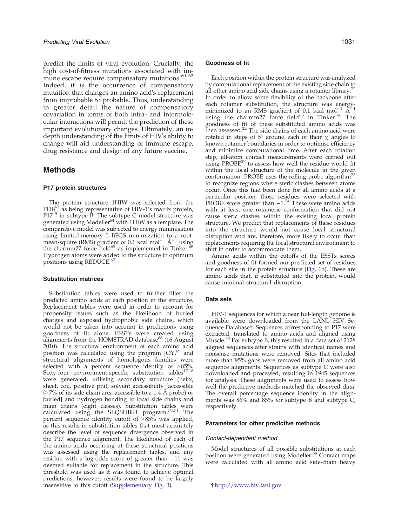<span id="page-8-0"></span>predict the limits of viral evolution. Crucially, the high cost-of-fitness mutations associated with [im](#page-11-0)mune escape require compensatory mutations.<sup>60-62</sup> Indeed, it is the occurrence of compensatory mutation that changes an amino acid's replacement from improbable to probable. Thus, understanding in greater detail the nature of compensatory covariation in terms of both intra- and intermolecular interactions will permit the prediction of these important evolutionary changes. Ultimately, an indepth understanding of the limits of HIV's ability to change will aid understanding of immune escape, drug resistance and design of any future vaccine.

## Methods

#### P17 protein structures

The protein structure 1HIW was selected from the PDB<sup>[63](#page-11-0)</sup> as being representative of HIV-1's matrix protein, P17<sup>[45](#page-10-0)</sup> in subtype B. The subtype C model structure was generated using Modeller<sup>[64](#page-11-0)</sup> with 1HIW as a template. The comparative model was subjected to energy minimisation using limited-memory L-BFGS minimization to a root-<br>mean-square (RMS) gradient of 0.1 kcal mol<sup>−1</sup> Å<sup>−1</sup> using the charmm27 force field<sup>65</sup> as implemented in Tinker.<sup>[66](#page-11-0)</sup> Hydrogen atoms were added to the structure in optimum positions using REDUCE.<sup>67</sup>

## Substitution matrices

Substitution tables were used to further filter the predicted amino acids at each position in the structure. Replacement tables were used in order to account for propensity issues such as the likelihood of buried charges and exposed hydrophobic side chains, which would not be taken into account in predictions using goodness of fit alone. ESSTs were created using alignments from the HOMSTRAD database $^{68}$  $^{68}$  $^{68}$  (16 August 2010). The structural environment of each amino acid position was calculated using the program JOY,<sup>69</sup> and structural alignments of homologous families were selected with a percent sequence identity of  $>85\%$ . Sixty-four environment-specific substitution tables<sup>[17,18](#page-9-0)</sup> were generated, utilising secondary structure (helix, sheet, coil, positive phi), solvent accessibility [accessible  $($ >7% of its side-chain area accessible to a 1.4 Å probe) or buried] and hydrogen bonding to local side chains and main chains (eight classes). Substitution tables were<br>calculated using the SEQSUBST program.<sup>[70,71](#page-11-0)</sup> The percent sequence identity cutoff of  $>85\%$  was applied, as this results in substitution tables that most accurately describe the level of sequence divergence observed in the P17 sequence alignment. The likelihood of each of the amino acids occurring at these structural positions was assessed using the replacement tables, and any residue with a log-odds score of greater than −11 was deemed suitable for replacement in the structure. This threshold was used as it was found to achieve optimal predictions; however, results were found to be largely insensitive to this cutoff (Supplementary Fig. 3).

#### Goodness of fit

Each position within the protein structure was analyzed by computational replacement of the existing side chain to all other amino acid side chains using a rotamer library.<sup>7</sup> In order to allow some flexibility of the backbone after each rotamer substitution, the structure was energy minimized to an RMS gradient of 0.1 kcal mol<sup>−1</sup>  $\AA^{-1}$ using the charmm27 force field<sup>[65](#page-11-0)</sup> in Tinker.<sup>[66](#page-11-0)</sup> The goodness of fit of these substituted amino acids was then assessed. $22$  The side chains of each amino acid were rotated in steps of  $5^\circ$  around each of their  $\chi$  angles to known rotamer boundaries in order to optimise efficiency and minimize computational time. After each rotation step, all-atom contact measurements were carried out using  $PROBE<sup>37</sup>$  $PROBE<sup>37</sup>$  $PROBE<sup>37</sup>$  to assess how well the residue would fit within the local structure of the molecule in the given conformation. PROBE uses the rolling probe algorithm<sup>[73](#page-11-0)</sup> to recognize regions where steric clashes between atoms occur. Once this had been done for all amino acids at a particular position, those residues were selected with PROBE score greater than −1.<sup>[74](#page-11-0)</sup> These were amino acids with at least one rotameric conformation that did not cause steric clashes within the existing local protein structure. We predict that replacements of these residues into the structure would not cause local structural disruption and are, therefore, more likely to occur than replacements requiring the local structural environment to shift in order to accommodate them.

Amino acids within the cutoffs of the ESSTs scores and goodness of fit formed our predicted set of residues for each site in the protein structure [\(Fig. 1b](#page-2-0)). These are amino acids that, if substituted into the protein, would cause minimal structural disruption.

#### Data sets

HIV-1 sequences for which a near full-length genome is available were downloaded from the LANL HIV Sequence Database†. Sequences corresponding to P17 were extracted, translated to amino acids and aligned using Muscle.<sup>[75](#page-11-0)</sup> For subtype B, this resulted in a data set of 2128 aligned sequences after strains with identical names and nonsense mutations were removed. Sites that included more than 95% gaps were removed from all amino acid sequence alignments. Sequences as subtype C were also downloaded and processed, resulting in 1945 sequences for analysis. These alignments were used to assess how well the predictive methods matched the observed data. The overall percentage sequence identity in the alignments was 86% and 85% for subtype B and subtype C, respectively.

#### Parameters for other predictive methods

#### Contact-dependent method

Model structures of all possible substitutions at each position were generated using Modeller.<sup>[64](#page-11-0)</sup> Contact maps were calculated with all amino acid side-chain heavy

<sup>†</sup> <http://www.hiv.lanl.gov>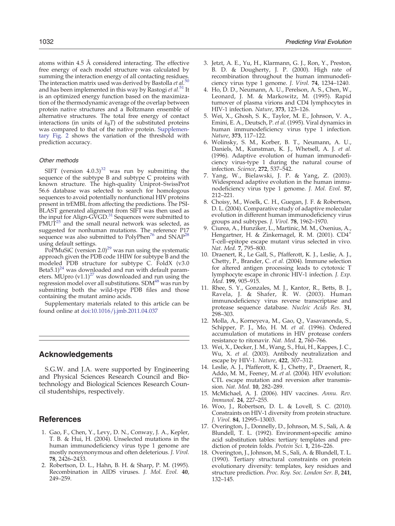<span id="page-9-0"></span>atoms within 4.5 Å considered interacting. The effective free energy of each model structure was calculated by summing the interaction energy of all contacting residues.<br>The interaction matrix used was derived by Bastolla *et al.* [50](#page-10-0) and has been implemented in this way by Rastogi et  $al$ .<sup>[51](#page-10-0)</sup> It is an optimized energy function based on the maximization of the thermodynamic average of the overlap between protein native structures and a Boltzmann ensemble of alternative structures. The total free energy of contact interactions (in units of  $k_B T$ ) of the substituted proteins was compared to that of the native protein. Supplementary Fig. 2 shows the variation of the threshold with prediction accuracy.

## Other methods

SIFT (version  $4.0.3$ )<sup>[32](#page-10-0)</sup> was run by submitting the sequence of the subtype B and subtype C proteins with known structure. The high-quality Uniprot–SwissProt 56.6 database was selected to search for homologous sequences to avoid potentially nonfunctional HIV proteins present in trEMBL from affecting the predictions. The PSI-BLAST generated alignment from SIFT was then used as<br>the inp<u>u</u>t for Align-GVGD.<sup>[31](#page-10-0)</sup> Sequences were submitted to  $PMUT^{25}$  $PMUT^{25}$  $PMUT^{25}$  and the small neural network was selected, as suggested for nonhuman mutations. The reference P17 sequence was also submitted to PolyPhen<sup>[76](#page-11-0)</sup> and  $SNAP^{28}$  $SNAP^{28}$  $SNAP^{28}$ using default settings.

PoPMuSiC (version 2.0)<sup>[29](#page-10-0)</sup> was run using the systematic approach given the PDB code 1HIW for subtype B and the modeled PDB structure for subtype C. FoldX (v3.0 Beta5.1)<sup>[24](#page-10-0)</sup> was downloaded and run with default parameters. MUpro  $(v1.1)^{27}$  $(v1.1)^{27}$  $(v1.1)^{27}$  was downloaded and run using the regression model over all substitutions. SDM<sup>48</sup> was run by submitting both the wild-type PDB files and those containing the mutant amino acids.

Supplementary materials related to this article can be found online at [doi:10.1016/j.jmb.2011.04.037](http://dx.doi.org/10.1016/j.jmb.2011.04.037)

# Acknowledgements

S.G.W. and J.A. were supported by Engineering and Physical Sciences Research Council and Biotechnology and Biological Sciences Research Council studentships, respectively.

# **References**

- 1. Gao, F., Chen, Y., Levy, D. N., Conway, J. A., Kepler, T. B. & Hui, H. (2004). Unselected mutations in the human immunodeficiency virus type 1 genome are mostly nonsynonymous and often deleterious. J. Virol. 78, 2426–2433.
- 2. Robertson, D. L., Hahn, B. H. & Sharp, P. M. (1995). Recombination in AIDS viruses. J. Mol. Evol. 40, 249–259.
- 3. Jetzt, A. E., Yu, H., Klarmann, G. J., Ron, Y., Preston, B. D. & Dougherty, J. P. (2000). High rate of recombination throughout the human immunodeficiency virus type 1 genome. J. Virol. 74, 1234–1240.
- 4. Ho, D. D., Neumann, A. U., Perelson, A. S., Chen, W., Leonard, J. M. & Markowitz, M. (1995). Rapid turnover of plasma virions and CD4 lymphocytes in HIV-1 infection. Nature, 373, 123–126.
- 5. Wei, X., Ghosh, S. K., Taylor, M. E., Johnson, V. A., Emini, E. A., Deutsch, P. et al. (1995). Viral dynamics in human immunodeficiency virus type 1 infection. Nature, 373, 117–122.
- 6. Wolinsky, S. M., Korber, B. T., Neumann, A. U., Daniels, M., Kunstman, K. J., Whetsell, A. J. et al. (1996). Adaptive evolution of human immunodeficiency virus-type 1 during the natural course of infection. Science, 272, 537–542.
- 7. Yang, W., Bielawski, J. P. & Yang, Z. (2003). Widespread adaptive evolution in the human immunodeficiency virus type 1 genome. J. Mol. Evol. 57, 212–221.
- 8. Choisy, M., Woelk, C. H., Guegan, J. F. & Robertson, D. L. (2004). Comparative study of adaptive molecular evolution in different human immunodeficiency virus groups and subtypes. J. Virol. 78, 1962–1970.
- 9. Ciurea, A., Hunziker, L., Martinic, M. M., Oxenius, A., Hengartner, H. & Zinkernagel, R. M. (2001). CD4<sup>+</sup> T-cell–epitope escape mutant virus selected in vivo. Nat. Med. 7, 795–800.
- 10. Draenert, R., Le Gall, S., Pfafferott, K. J., Leslie, A. J., Chetty, P., Brander, C. et al. (2004). Immune selection for altered antigen processing leads to cytotoxic T lymphocyte escape in chronic HIV-1 infection. J. Exp. Med. 199, 905-915.
- 11. Rhee, S. Y., Gonzales, M. J., Kantor, R., Betts, B. J., Ravela, J. & Shafer, R. W. (2003). Human immunodeficiency virus reverse transcriptase and protease sequence database. Nucleic Acids Res. 31, 298–303.
- 12. Molla, A., Korneyeva, M., Gao, Q., Vasavanonda, S., Schipper, P. J., Mo, H. M. et al. (1996). Ordered accumulation of mutations in HIV protease confers resistance to ritonavir. Nat. Med. 2, 760–766.
- 13. Wei, X., Decker, J. M., Wang, S., Hui, H., Kappes, J. C., Wu, X. et al. (2003). Antibody neutralization and escape by HIV-1. Nature, 422, 307-312.
- 14. Leslie, A. J., Pfafferott, K. J., Chetty, P., Draenert, R., Addo, M. M., Feeney, M. et al. (2004). HIV evolution: CTL escape mutation and reversion after transmission. Nat. Med. 10, 282–289.
- 15. McMichael, A. J. (2006). HIV vaccines. Annu. Rev. Immunol. 24, 227–255.
- 16. Woo, J., Robertson, D. L. & Lovell, S. C. (2010). Constraints on HIV-1 diversity from protein structure. J. Virol. 84, 12995–13003.
- 17. Overington, J., Donnelly, D., Johnson, M. S., Sali, A. & Blundell, T. L. (1992). Environment-specific amino acid substitution tables: tertiary templates and prediction of protein folds. Protein Sci. 1, 216–226.
- 18. Overington, J., Johnson, M. S., Sali, A. & Blundell, T. L. (1990). Tertiary structural constraints on protein evolutionary diversity: templates, key residues and structure prediction. Proc. Roy. Soc. London Ser. B, 241, 132–145.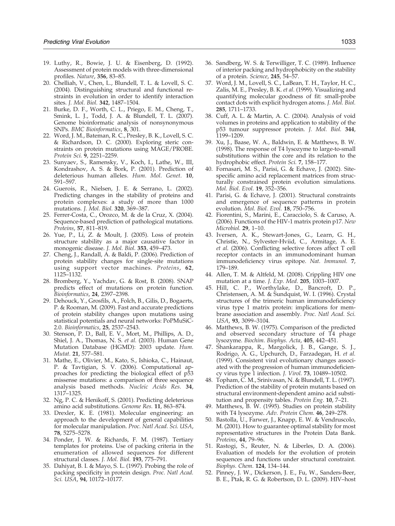- <span id="page-10-0"></span>19. Luthy, R., Bowie, J. U. & Eisenberg, D. (1992). Assessment of protein models with three-dimensional profiles. Nature, 356, 83–85.
- 20. Chelliah, V., Chen, L., Blundell, T. L. & Lovell, S. C. (2004). Distinguishing structural and functional restraints in evolution in order to identify interaction sites. J. Mol. Biol. 342, 1487–1504.
- 21. Burke, D. F., Worth, C. L., Priego, E. M., Cheng, T., Smink, L. J., Todd, J. A. & Blundell, T. L. (2007). Genome bioinformatic analysis of nonsynonymous SNPs. BMC Bioinformatics, 8, 301.
- 22. Word, J. M., Bateman, R. C., Presley, B. K., Lovell, S. C. & Richardson, D. C. (2000). Exploring steric constraints on protein mutations using MAGE/PROBE. Protein Sci. 9, 2251-2259.
- 23. Sunyaev, S., Ramensky, V., Koch, I., Lathe, W., III, Kondrashov, A. S. & Bork, P. (2001). Prediction of deleterious human alleles. Hum. Mol. Genet. 10, 591–597.
- 24. Guerois, R., Nielsen, J. E. & Serrano, L. (2002). Predicting changes in the stability of proteins and protein complexes: a study of more than 1000 mutations. J. Mol. Biol. 320, 369–387.
- 25. Ferrer-Costa, C., Orozco, M. & de la Cruz, X. (2004). Sequence-based prediction of pathological mutations. Proteins, 57, 811–819.
- 26. Yue, P., Li, Z. & Moult, J. (2005). Loss of protein structure stability as a major causative factor in monogenic disease. J. Mol. Biol. 353, 459–473.
- 27. Cheng, J., Randall, A. & Baldi, P. (2006). Prediction of protein stability changes for single-site mutations using support vector machines. Proteins, 62, 1125–1132.
- 28. Bromberg, Y., Yachdav, G. & Rost, B. (2008). SNAP predicts effect of mutations on protein function. Bioinformatics, 24, 2397–2398.
- 29. Dehouck, Y., Grosfils, A., Folch, B., Gilis, D., Bogaerts, P. & Rooman, M. (2009). Fast and accurate predictions of protein stability changes upon mutations using statistical potentials and neural networks: PoPMuSiC-2.0. Bioinformatics, 25, 2537–2543.
- 30. Stenson, P. D., Ball, E. V., Mort, M., Phillips, A. D., Shiel, J. A., Thomas, N. S. et al. (2003). Human Gene Mutation Database (HGMD): 2003 update. Hum. Mutat. 21, 577–581.
- 31. Mathe, E., Olivier, M., Kato, S., Ishioka, C., Hainaut, P. & Tavtigian, S. V. (2006). Computational approaches for predicting the biological effect of p53 missense mutations: a comparison of three sequence analysis based methods. Nucleic Acids Res. 34, 1317–1325.
- 32. Ng, P. C. & Henikoff, S. (2001). Predicting deleterious amino acid substitutions. Genome Res. 11, 863–874.
- 33. Drexler, K. E. (1981). Molecular engineering: an approach to the development of general capabilities for molecular manipulation. Proc. Natl Acad. Sci. USA, 78, 5275–5278.
- 34. Ponder, J. W. & Richards, F. M. (1987). Tertiary templates for proteins. Use of packing criteria in the enumeration of allowed sequences for different structural classes. J. Mol. Biol. 193, 775–791.
- 35. Dahiyat, B. I. & Mayo, S. L. (1997). Probing the role of packing specificity in protein design. Proc. Natl Acad. Sci. USA, 94, 10172–10177.
- 36. Sandberg, W. S. & Terwilliger, T. C. (1989). Influence of interior packing and hydrophobicity on the stability of a protein. Science, 245, 54–57.
- 37. Word, J. M., Lovell, S. C., LaBean, T. H., Taylor, H. C., Zalis, M. E., Presley, B. K. et al. (1999). Visualizing and quantifying molecular goodness of fit: small-probe contact dots with explicit hydrogen atoms. J. Mol. Biol. 285, 1711–1733.
- 38. Cuff, A. L. & Martin, A. C. (2004). Analysis of void volumes in proteins and application to stability of the p53 tumour suppressor protein. J. Mol. Biol. 344, 1199–1209.
- 39. Xu, J., Baase, W. A., Baldwin, E. & Matthews, B. W. (1998). The response of T4 lysozyme to large-to-small substitutions within the core and its relation to the hydrophobic effect. Protein Sci. 7, 158–177.
- 40. Fornasari, M. S., Parisi, G. & Echave, J. (2002). Sitespecific amino acid replacement matrices from structurally constrained protein evolution simulations. Mol. Biol. Evol. 19, 352–356.
- 41. Parisi, G. & Echave, J. (2001). Structural constraints and emergence of sequence patterns in protein evolution. Mol. Biol. Evol. 18, 750-756.
- 42. Fiorentini, S., Marini, E., Caracciolo, S. & Caruso, A. (2006). Functions of the HIV-1 matrix protein p17. New Microbiol. 29, 1–10.
- 43. Iversen, A. K., Stewart-Jones, G., Learn, G. H., Christie, N., Sylvester-Hviid, C., Armitage, A. E. et al. (2006). Conflicting selective forces affect T cell receptor contacts in an immunodominant human immunodeficiency virus epitope. Nat. Immunol. 7, 179–189.
- 44. Allen, T. M. & Altfeld, M. (2008). Crippling HIV one mutation at a time. J. Exp. Med. 205, 1003–1007.
- 45. Hill, C. P., Worthylake, D., Bancroft, D. P., Christensen, A. M. & Sundquist, W. I. (1996). Crystal structures of the trimeric human immunodeficiency virus type 1 matrix protein: implications for membrane association and assembly. Proc. Natl Acad. Sci. USA, 93, 3099–3104.
- 46. Matthews, B. W. (1975). Comparison of the predicted and observed secondary structure of T4 phage lysozyme. Biochim. Biophys. Acta, 405, 442–451.
- 47. Shankarappa, R., Margolick, J. B., Gange, S. J., Rodrigo, A. G., Upchurch, D., Farzadegan, H. et al. (1999). Consistent viral evolutionary changes associated with the progression of human immunodeficiency virus type 1 infection. J. Virol. 73, 10489–10502.
- 48. Topham, C. M., Srinivasan, N. & Blundell, T. L. (1997). Prediction of the stability of protein mutants based on structural environment-dependent amino acid substitution and propensity tables. Protein Eng. 10, 7–21.
- 49. Matthews, B. W. (1995). Studies on protein stability with T4 lysozyme. Adv. Protein Chem. 46, 249–278.
- 50. Bastolla, U., Farwer, J., Knapp, E. W. & Vendruscolo, M. (2001). How to guarantee optimal stability for most representative structures in the Protein Data Bank. Proteins, 44, 79–96.
- 51. Rastogi, S., Reuter, N. & Liberles, D. A. (2006). Evaluation of models for the evolution of protein sequences and functions under structural constraint. Biophys. Chem. 124, 134–144.
- 52. Pinney, J. W., Dickerson, J. E., Fu, W., Sanders-Beer, B. E., Ptak, R. G. & Robertson, D. L. (2009). HIV–host